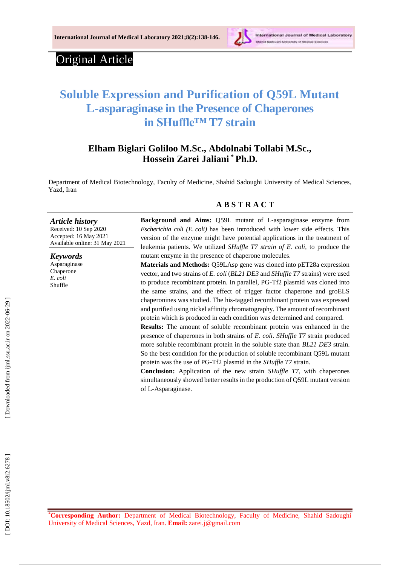

# Original Article

# **Soluble Expression and Purification of Q59L Mutant L-asparaginase in the Presence of Chaperones in SHuffle™ T7 strain**

## **[Elham Biglari Goliloo](http://ijml.ssu.ac.ir/search.php?slc_lang=en&sid=1&auth=biglari+goliloo) M.S c., [Abdolnabi Tollab](http://ijml.ssu.ac.ir/search.php?slc_lang=en&sid=1&auth=tollabi) i M.S c., Hossein Zarei Jaliani \* Ph.D.**

Department of Medical Biotechnology, Faculty of Medicine, Shahid Sadoughi University of Medical Sciences, Yazd, Iran

#### *Article history*

Received: 1 0 Sep 2020 Accepted : 16 May 202 1 Available online : 31 May 20 2 1

*Keywords* Asparaginase Chaperone

*E. coli* Shuffle

## **A B S T R A C T**

**Background and Aims:** Q59L mutant of L -asparaginase enzyme from *Escherichia coli (E. coli)* has been introduced with lower side effects. This version of the enzyme might have potential applications in the treatment of leukemia patients. We utilized *SHuffle T7 strain of E. coli*, to produce the mutant enzyme in the presence of chaperone molecules.

**Materials and Methods:** Q59LAsp gene was cloned into pET28a expression vector, and two strains of *E. coli* (*BL21 DE3* and *SHuffle T7* strains) were used to produce recombinant protein. In parallel, PG -Tf2 plasmid was cloned into the same strains, and the effect of trigger factor chaperone and groELS chaperonines was studied. The his -tagged recombinant protein was expressed and purified using nickel affinity chromatography. The amount of recombinant protein which is produced in each condition was determined and compared.

**Results:** The amount of soluble recombinant protein was enhanced in the presence of chaperones in both strains of *E. coli*. *SHuffle T7* strain produced more soluble recombinant protein in the soluble state than *BL21 DE3* strain. So the best condition for the production of soluble recombinant Q59L mutant protein was the use of PG -Tf2 plasmid in the *SHuffle T7* strain.

**Conclusion :** Application of the new strain *SHuffle T7*, with chaperones simultaneously showed better results in the production of Q59L mutant version of L -Asparaginase .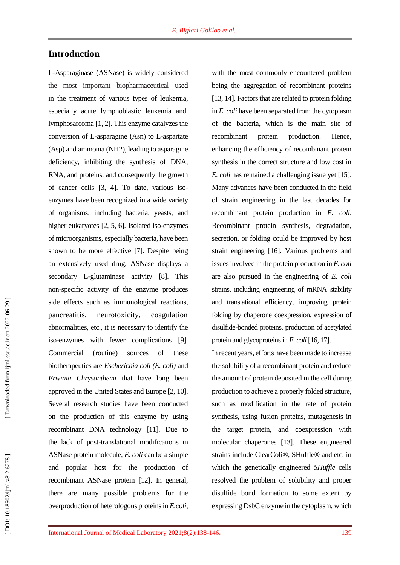## **Introduction**

L-Asparaginase (ASNase) is widely considered the most important biopharmaceutical used in the treatment of various types of leukemia, especially acute lymphoblastic leukemia and lymphosarcoma [1, 2 ]. This enzyme catalyzes the conversion of L -asparagine (Asn) to L -aspartate (Asp) and ammonia (NH2), leading to asparagine deficiency, inhibiting the synthesis of DNA, RNA, and proteins, and consequently the growth of cancer cells [3, 4 ]. To date, various iso enzymes have been recognized in a wide variety of organisms, including bacteria, yeasts, and higher eukaryotes [2, 5, 6 ]. Isolated iso -enzymes of microorganisms, especially bacteria, have been shown to be more effective [7 ] . Despite being an extensively used drug, ASNase displays a secondary L -glutaminase activity [8 ]. This non -specific activity of the enzyme produces side effects such as immunological reactions, pancreatitis, neurotoxicity, coagulation abnormalities, etc., it is necessary to identify the iso -enzymes with fewer complications [9 ]. **Commercial** routine) sources of these biotherapeutics are *Escherichia coli (E. coli )* and *Erwinia Chrysanthemi* that have long been approved in the United States and Europe [2, 10 ] . Several research studies have been conducted on the production of this enzyme by using recombinant DNA technology [11 ]. Due to the lack of post -translational modifications in ASNase protein molecule, *E. coli* can be a simple and popular host for the production of recombinant ASNase protein [12 ]. In general, there are many possible problems for the overproduction of heterologous proteins in *E.coli*,

with the most commonly encountered problem being the aggregation of recombinant proteins [13, 14 ]. Factors that are related to protein folding in *E. coli* have been separated from the cytoplasm of the bacteria, which is the main site of recombinant protein production. Hence, enhancing the efficiency of recombinant protein synthesis in the correct structure and low cost in *E. coli* has remained a challenging issue yet [15 ]. Many advances have been conducted in the field of strain engineering in the last decades for recombinant protein production in *E. coli*. Recombinant protein synthesis, degradation, secretion, or folding could be improved by host strain engineering [16 ]. Various problems and issues involved in the protein production in *E. coli* are also pursued in the engineering of *E. coli* strains, including engineering of mRNA stability and translational efficiency, improving protein folding by chaperone coexpression, expression of disulfide -bonded proteins, production of acetylated protein and glycoproteins in *E. coli* [16, 17].

In recent years, efforts have been made to increase the solubility of a recombinant protein and reduce the amount of protein deposited in the cell during production to achieve a properly folded structure, such as modification in the rate of protein synthesis, using fusion proteins, mutagenesis in the target protein, and coexpression with molecular chaperones [13 ]. These engineered strains include ClearColi®, SHuffle® and etc, in which the genetically engineered *SHuffle* cells resolved the problem of solubility and proper disulfide bond formation to some extent by expressing DsbC enzyme in the cytoplasm, which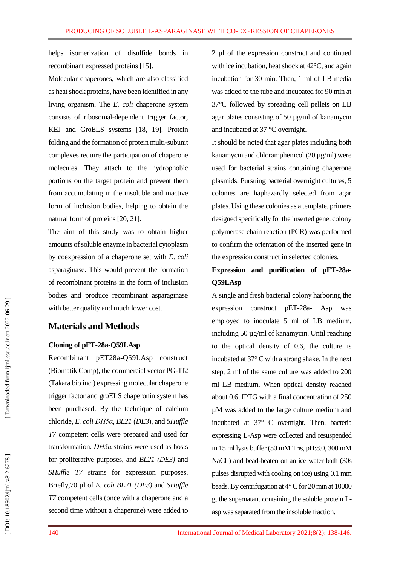helps isomerization of disulfide bonds in recombinant expressed proteins [15 ] .

Molecular chaperones, which are also classified as heat shock proteins, have been identified in any living organism. The *E. coli* chaperone system consists of ribosomal -dependent trigger factor, KEJ and GroEL S systems [18, 19 ] . Protein folding and the formation of protein multi -subunit complexes require the participation of chaperone molecules. They attach to the hydrophobic portions on the target protein and prevent them from accumulating in the insoluble and inactive form of inclusion bodies, helping to obtain the natural form of proteins [20, 21 ] .

The aim of this study was to obtain higher amounts of soluble enzyme in bacterial cytoplasm by coexpression of a chaperone set with *E* . *coli* asparaginase. This would prevent the formation of recombinant proteins in the form of inclusion bodies and produce recombinant asparaginase with better quality and much lower cost.

## **Materials and Methods**

#### **Cloning of pET -28a -Q59LAsp**

Recombinant pET28a -Q59LAsp construct (Biomatik Comp), the commercial vector PG -Tf2 (Takara bio inc.) expressing molecular chaperone trigger factor and groELS chaperonin system has been purchased. By the technique of calcium chloride, *E. coli DH5α*, *BL21* (*DE3*), and *SHuffle T7* competent cells were prepared and used for transformation. *DH5α* strains were used as hosts for proliferative purposes, and *BL21 (DE3)* and *SHuffle T7* strains for expression purposes. Briefly,70 µl of *E. coli BL21 (DE3)* and *SHuffle T7* competent cells (once with a chaperone and a second time without a chaperone) were added to

2 µl of the expression construct and continued with ice incubation, heat shock at 42°C, and again incubation for 30 min. Then, 1 ml of LB media was added to the tube and incubated for 90 min at 37°C followed by spreading cell pellets on LB agar plates consisting of 50 µg/ml of kanamycin and incubated at 37 °C overnight.

It should be noted that agar plates including both kanamycin and chloramphenicol (20 µg/ml) were used for bacterial strains containing chaperone plasmids. Pursuing bacterial overnight cultures, 5 colonies are haphazardly selected from agar plates. Using these colonies as a template, primers designed specifically for the inserted gene, colony polymerase chain reaction (PCR ) was performed to confirm the orientation of the inserted gene in the expression construct in selected colonies.

## **Expression and purification of pET -28a - Q59LAsp**

A single and fresh bacterial colony harboring the expression construct pET -28a - Asp was employed to inoculate 5 ml of LB medium, including 50 µg/ml of kanamycin. Until reaching to the optical density of 0.6, the culture is incubated at 37° C with a strong shake. In the next step, 2 ml of the same culture was added to 200 ml LB medium . When optical density reached about 0.6, IPTG with a final concentration of 250 µM was added to the large culture medium and incubated at 37 ° C overnight. Then, bacteria expressing L -Asp were collected and resuspended in 15 ml lysis buffer (50 mM Tris, pH:8.0 , 300 mM NaCl ) and bead -beaten on an ice water bath (30s pulses disrupted with cooling on ice) using 0.1 mm bead s. By centrifugation at 4° C for 20 min at 10000 g, the supernatant containing the soluble protein L asp was separated from the insoluble fraction.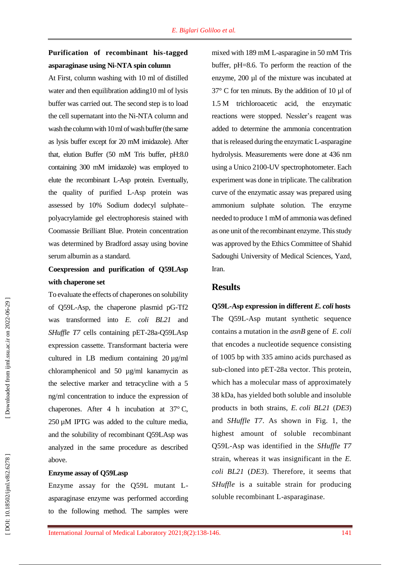## **Purification of recombinant his -tagged asparaginase using Ni -NTA spin column**

At First, column washing with 10 ml of distilled water and then equilibration adding10 ml of lysis buffer was carried out. The second step is to load the cell supernatant into the Ni -NTA column and wash the column with 10 ml of wash buffer (the same as lysis buffer except for 20 mM imidazole). After that, elution Buffer (50 mM Tris buffer, pH:8.0 containing 300 mM imidazole) was employed to elute the recombinant L -Asp protein. Eventually, the quality of purified L -Asp protein was assessed by 10% Sodium dodecyl sulphate – polyacrylamide gel electrophoresis stained with Coomassie Brilliant Blue. Protein concentration was determined by Bradford assay using bovine serum albumin as a standard .

## **Coexpression and purification of Q59LAsp with chaperone set**

To evaluate the effects of chaperones on solubility of Q59L -Asp, the chaperone plasmid pG -Tf2 was transformed into *E. coli BL21* and *SHuffle T7* cells containing pET -28a -Q59LAsp expression cassette. Transformant bacteria were cultured in LB medium containing 20 µg/ml chloramphenicol and 50 µg/ml kanamycin as the selective marker and tetracycline with a 5 ng/ml concentration to induce the expression of chaperones. After 4 h incubation at  $37^{\circ}$  C, 250 µM IPTG was added to the culture media, and the solubility of recombinant Q59LAsp was analyzed in the same procedure as described above.

#### **Enzyme assay of Q59Lasp**

Enzyme assay for the Q59L mutant L asparaginase enzyme was performed according to the following method. The samples were

mixed with 189 mM L -asparagine in 50 mM Tris buffer, pH=8.6. To perform the reaction of the enzyme, 200 µl of the mixture was incubated at 37 ° C for ten minuts. By the addition of 10 µl of 1.5 M trichloroacetic acid, the enzymatic reactions were stopped. Nessler's reagent was added to determine the ammonia concentration that is released during the enzymatic L -asparagine hydrolysis. Measurements were done at 436 nm using a Unico 2100 -UV spectrophotometer. Each experiment was done in triplicate. The calibration curve of the enzymatic assay was prepared using ammonium sulphate solution. The enzyme needed to produce 1 mM of ammonia was defined as one unit of the recombinant enzyme. This study was approved by the Ethics Committee of Shahid Sadoughi University of Medical Sciences, Yazd, Iran .

## **Result s**

**Q59L -Asp expression in different** *E. coli* **hosts** The Q59L -Asp mutant synthetic sequence contains a mutation in the *asnB* gene of *E . coli*  that encodes a nucleotide sequence consisting of 1005 bp with 335 amino acids purchased as sub -cloned into pET -28a vector. This protein, which has a molecular mass of approximately 38 kDa, has yielded both soluble and insoluble products in both strains, *E. coli BL21* (*DE3*) and *SHuffle T7*. As shown in Fig. 1, the highest amount of soluble recombinant Q59L -Asp was identified in the *SHuffle T7* strain, whereas it was insignificant in the *E. coli BL21* (*DE3* ). Therefore, it seems that *SHuffle* is a suitable strain for producing soluble recombinant L -asparaginase.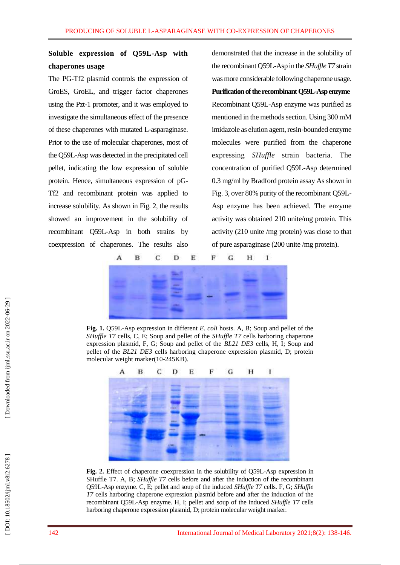## **Soluble expression of Q59L -Asp with chaperones usage**

The PG -Tf2 plasmid controls the expression of GroES, GroEL, and trigger factor chaperones using the Pzt -1 promoter, and it was employed to investigate the simultaneous effect of the presence of these chaperones with mutated L -asparaginase. Prior to the use of molecular chaperones, most of the Q59L -Asp was detected in the precipitated cell pellet, indicating the low expression of soluble protein. Hence, simultaneous expression of pG - Tf2 and recombinant protein was applied to increase solubility. As shown in Fig. 2, the results showed an improvement in the solubility of recombinant Q59L -Asp in both strains by coexpression of chaperones. The results also

demonstrated that the increase in the solubility of the recombinant Q59L -Asp in the *SHuffle T7* strain was more considerable following chaperone usage. **Purification of the recombinant Q59L -Aspenzyme** Recombinant Q59L -Asp enzyme was purified as mentioned in the methods section. Using 300 mM imidazole as elution agent, resin -bounded enzyme molecules were purified from the chaperone expressing *SHuffle* strain bacteria. The concentration of purified Q59L - Asp determined 0. 3 mg/ml by Bradford protein assay As shown in Fig. 3, over 80% purity of the recombinant Q59L - Asp enzyme has been achieved. The enzyme activity was obtained 210 unite/mg protein. This activity (210 unite /mg protein) was close to that of pure asparaginase (200 unite /mg protein).



Fig. 1. Q59L-Asp expression in different *E. coli* hosts. A, B; Soup and pellet of the *SHuffle T7* cells, C, E; Soup and pellet of the *SHuffle T7* cells harboring chaperone expression plasmid, F, G; Soup and pellet of the *BL21 DE3* cells, H, I; Soup and pellet of the *BL21 DE3* cells harboring chaperone expression plasmid, D; protein molecular weight marker(10 -245KB).



Fig. 2. Effect of chaperone coexpression in the solubility of Q59L-Asp expression in SHuffle T7. A, B; *SHuffle T7* cells before and after the induction of the recombinant Q59L -Asp enzyme. C, E; pellet and soup of the induced *SHuffle T7* cells. F, G; *SHuffle T7* cells harboring chaperone expression plasmid before and after the induction of the recombinant Q59L -Asp enzyme. H, I; pellet and soup of the induced *SHuffle T7* cells harboring chaperone expression plasmid, D; protein molecular weight marker.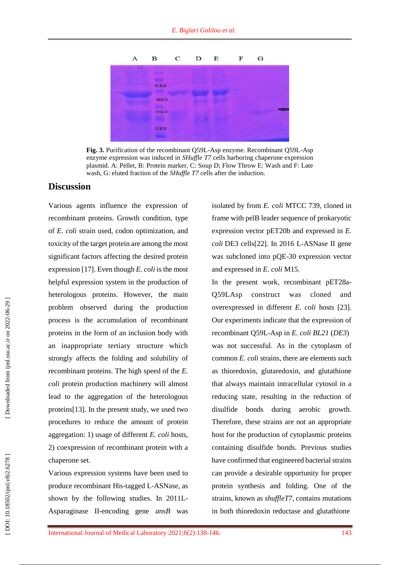

Fig. 3. Purification of the recombinant Q59L-Asp enzyme. Recombinant Q59L-Asp enzyme expression was induced in *SHuffle T7* cells harboring chaperone expression plasmid. A: Pellet, B: Protein marker, C: Soup D; Flow Throw E: Wash and F: Late wash, G: eluted fraction of the *SHuffle T7* cells after the induction.

#### **Discussion**

Various agents influence the expression of recombinant proteins. Growth condition, type of *E. coli* strain used, codon optimization, and toxicity of the target protein are among the most significant factors affecting the desired protein expression [17 ]. Even though *E. coli* is the most helpful expression system in the production of heterologous proteins. However, the main problem observed during the production process is the accumulation of recombinant proteins in the form of an inclusion body with an inappropriate tertiary structure which strongly affects the folding and solubility of recombinant proteins. The high speed of the *E. coli* protein production machinery will almost lead to the aggregation of the heterologous proteins [13 ]. In the present study, we used two procedures to reduce the amount of protein aggregation: 1) usage of different *E. coli* hosts , 2) coexpression of recombinant protein with a chaperone set.

Various expression systems have been used to produce recombinant His -tagged L -ASNase, as shown by the following studies. In 2011L - Asparaginase II -encoding gene *ansB* was isolated by from *E. coli* MTCC 739, cloned in frame with pelB leader sequence of prokaryotic expression vector pET20b and expressed in *E.*  coli DE3 cells<sup>[22]</sup>. In 2016 L-ASNase II gene was subcloned into pQE -30 expression vector and expressed in *E. coli* M15 .

In the present work, recombinant pET28a-Q59LAsp construct was cloned and overexpressed in different *E. coli* hosts [23]. Our experiments indicate that the expression of recombinant Q59L -Asp in *E. coli BL21* (*DE3*) was not successful . As in the cytoplasm of common *E. coli* strains, there are elements such as thioredoxin, glutaredoxin, and glutathione that always maintain intracellular cytosol in a reducing state, resulting in the reduction of disulfide bonds during aerobic growth. Therefore, these strains are not an appropriate host for the production of cytoplasmic proteins containing disulfide bonds. Previous studies have confirmed that engineered bacterial strains can provide a desirable opportunity for proper protein synthesis and folding. One of the strains, known as *shuffleT7*, contains mutations in both thioredoxin reductase and glutathione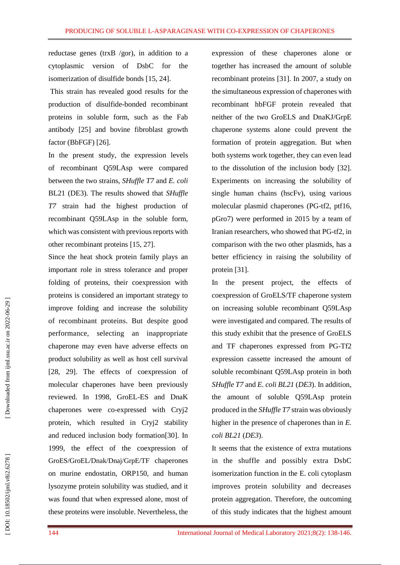reductase genes (trxB /gor), in addition to a cytoplasmic version of DsbC for the isomerization of disulfide bonds [15, 24 ].

This strain has revealed good results for the production of disulfide -bonded recombinant proteins in soluble form, such as the Fab antibody [25 ] and bovine fibroblast growth factor (BbFGF) [26].

In the present study, the expression levels of recombinant Q59LAsp were compared between the two strains, *SHuffle T7* and *E. coli* BL21 (DE3). The results showed that *SHuffle T7* strain had the highest production of recombinant Q59LAsp in the soluble form, which was consistent with previous reports with other recombinant proteins [15, 27 ] .

Since the heat shock protein family plays an important role in stress tolerance and proper folding of proteins, their coexpression with proteins is considered an important strategy to improve folding and increase the solubility of recombinant proteins. But despite good performance, selecting an inappropriate chaperone may even have adverse effects on product solubility as well as host cell survival [28, 29 ]. The effects of coexpression of molecular chaperones have been previously reviewed. In 1998, GroEL -ES and DnaK chaperones were co -expressed with Cryj2 protein, which resulted in Cryj2 stability and reduced inclusion body formation[30 ]. In 1999, the effect of the coexpression of GroES/GroEL/Dnak/Dnaj/GrpE/TF chaperones on murine endostatin, ORP150, and human lysozyme protein solubility was studied, and it was found that when expressed alone, most of these proteins were insoluble. Nevertheless, the

expression of these chaperones alone or together has increased the amount of soluble recombinant proteins [31]. In 2007, a study on the simultaneous expression of chaperones with recombinant hbFGF protein revealed that neither of the two GroELS and DnaKJ/GrpE chaperone systems alone could prevent the formation of protein aggregation. But when both systems work together, they can even lead to the dissolution of the inclusion body [32 ] . Experiments on increasing the solubility of single human chains (hscFv), using various molecular plasmid chaperones (PG -tf2, ptf16, pGro7) were performed in 2015 by a team of Iranian researchers, who showed that PG -tf2, in comparison with the two other plasmids, has a better efficiency in raising the solubility of protein [31].

In the present project, the effects of coexpression of GroELS/TF chaperone system on increasing soluble recombinant Q59LAsp were investigated and compared. The results of this study exhibit that the presence of GroELS and TF chaperones expressed from PG -Tf2 expression cassette increased the amount of soluble recombinant Q59LAsp protein in both *SHuffle T7* and *E. coli BL2 1* (*DE3*). In addition, the amount of soluble Q59LAsp protein produced in the *SHuffle T7* strain was obviously higher in the presence of chaperones than in *E. coli BL21* (*DE3*).

It seems that the existence of extra mutations in the shuffle and possibly extra DsbC isomerization function in the E. coli cytoplasm improves protein solubility and decreases protein aggregation. Therefore, the outcoming of this study indicates that the highest amount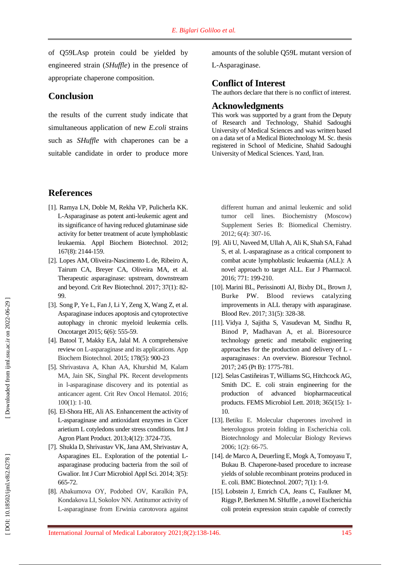of Q59LAsp protein could be yielded by engineered strain (*SHuffle*) in the presence of appropriate chaperone composition.

#### **Conclusion**

the results of the current study indicate that simultaneous application of new *E.coli* strains such as *SHuffle* with chaperones can be a suitable candidate in order to produce more

#### **References**

- [1]. Ramya LN, Doble M, Rekha VP , Pulicherla KK. L -Asparaginase as potent anti -leukemic agent and its significance of having reduced glutaminase side activity for better treatment of acute lymphoblastic leukaemia. Appl Biochem Biotechnol. 2012; 167(8): 2144 - 159.
- [ 2]. Lopes AM, Oliveira -Nascimento L de, Ribeiro A, Tairum CA, Breyer CA, Oliveira MA, et al. Therapeutic asparaginase: upstream, downstream and beyond. Crit Rev Biotechnol. 2017; 37(1): 82-99.
- [ 3]. Song P, Ye L, Fan J, Li Y, Zeng X, Wang Z, et al. Asparaginase induces apoptosis and cytoprotective autophagy in chronic myeloid leukemia cells. Oncotarget 2015 ; 6(6): 555 -59.
- [ 4]. Batool T, Makky EA, Jalal M. A comprehensive review on L -asparaginase and its applications. App Biochem Biotechnol. 2015; 178 ( 5 ) : 900 -23
- [ 5]. Shrivastava A, Khan AA, Khurshid M, Kalam MA, Jain SK, Singhal PK. Recent developments in l -asparaginase discovery and its potential as anticancer agent. Crit Rev Oncol Hematol. 2016; 100(1): 1 -10 .
- [ 6]. El -Shora HE, Ali AS. Enhancement the activity of L -asparaginase and antioxidant enzymes in Cicer arietium L cotyledons under stress conditions. Int J Agron Plant Product. 2013;4(12): 3724 -735.
- [ 7]. Shukla D, Shrivastav VK, Jana AM, Shrivastav A, Asparagines EL. Exploration of the potential Lasparaginase producing bacteria from the soil of Gwalior. Int J Curr Microbiol Appl Sci. 2014; 3(5): 665 -72.
- [ 8]. Abakumova OY, Podobed OV, Karalkin PA, Kondakova LI, Sokolov NN. Antitumor activity of L-asparaginase from Erwinia carotovora against

amounts of the soluble Q59L mutant version of L-Asparaginase.

#### **Conflict of Interest**

The authors declare that there is no conflict of interest.

#### **Acknowledgments**

This work was supported by a grant from the Deputy of Research and Technology, Shahid Sadoughi University of Medical Sciences and was written based on a data set of a Medical Biotechnology M. Sc. thesis registered in School of Medicine, Shahid Sadoughi University of Medical Sciences. Yazd, Iran.

different human and animal leukemic and solid tumor cell lines. Biochemistry (Moscow) Supplement Series B: Biomedical Chemistry. 2012; 6(4): 307 -16.

- [ 9]. Ali U, Naveed M, Ullah A, Ali K, Shah SA, Fahad S, et al. L -asparaginase as a critical component to combat acute lymphoblastic leukaemia (ALL): A novel approach to target ALL. Eur J Pharmacol. 2016; 771: 199 -210.
- [10]. Marini BL, Perissinotti AJ, Bixby DL, Brown J, Burke PW. Blood reviews catalyzing improvements in ALL therapy with asparaginase. Blood Rev. 2017; 31(5): 328 -38.
- [11]. Vidya J, Sajitha S, Vasudevan M, Sindhu R, Binod P, Madhavan A, et al. Bioresource technology genetic and metabolic engineering approaches for the production and delivery of L asparaginases : An overview. Bioresour Technol. 2017; 245 (Pt B ) : 1775 - 781.
- [12]. Selas Castiñeiras T, Williams SG, Hitchcock AG, Smith DC. E. coli strain engineering for the production of advanced biopharmaceutical products. FEMS Microbiol Lett. 2018; 365(15): 1-10.
- [13]. Betiku E. Molecular chaperones involved in heterologous protein folding in Escherichia coli. Biotechnology and Molecular Biology Reviews 2006; 1(2): 66 -75.
- [14]. de Marco A, Deuerling E, Mogk A, Tomoyasu T, Bukau B. Chaperone -based procedure to increase yields of soluble recombinant proteins produced in E. coli. BMC Biotechnol. 2007; 7(1): 1-9.
- [15]. Lobstein J, Emrich CA, Jeans C, Faulkner M, Riggs P, Berkmen M. SHuffle , a novel Escherichia coli protein expression strain capable of correctly